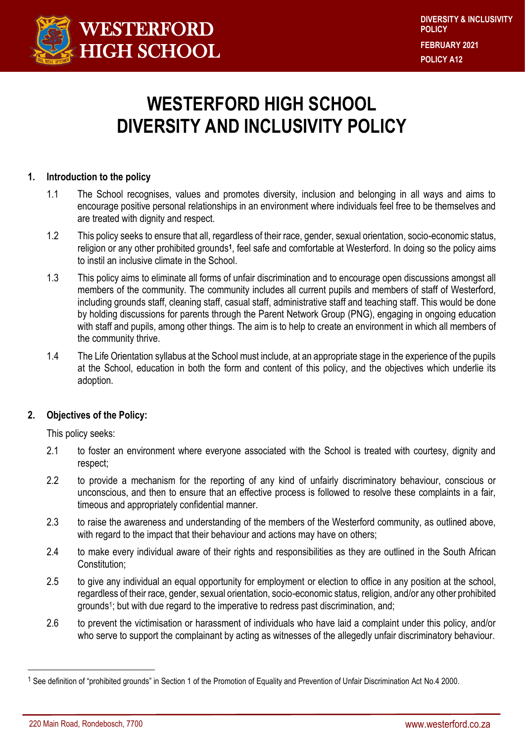

# **WESTERFORD HIGH SCHOOL DIVERSITY AND INCLUSIVITY POLICY**

# **1. Introduction to the policy**

- 1.1 The School recognises, values and promotes diversity, inclusion and belonging in all ways and aims to encourage positive personal relationships in an environment where individuals feel free to be themselves and are treated with dignity and respect.
- 1.2 This policy seeks to ensure that all, regardless of their race, gender, sexual orientation, socio-economic status, religion or any other prohibited grounds**<sup>1</sup>** , feel safe and comfortable at Westerford. In doing so the policy aims to instil an inclusive climate in the School.
- 1.3 This policy aims to eliminate all forms of unfair discrimination and to encourage open discussions amongst all members of the community. The community includes all current pupils and members of staff of Westerford, including grounds staff, cleaning staff, casual staff, administrative staff and teaching staff. This would be done by holding discussions for parents through the Parent Network Group (PNG), engaging in ongoing education with staff and pupils, among other things. The aim is to help to create an environment in which all members of the community thrive.
- 1.4 The Life Orientation syllabus at the School must include, at an appropriate stage in the experience of the pupils at the School, education in both the form and content of this policy, and the objectives which underlie its adoption.

# **2. Objectives of the Policy:**

This policy seeks:

- 2.1 to foster an environment where everyone associated with the School is treated with courtesy, dignity and respect;
- 2.2 to provide a mechanism for the reporting of any kind of unfairly discriminatory behaviour, conscious or unconscious, and then to ensure that an effective process is followed to resolve these complaints in a fair, timeous and appropriately confidential manner.
- 2.3 to raise the awareness and understanding of the members of the Westerford community, as outlined above, with regard to the impact that their behaviour and actions may have on others;
- 2.4 to make every individual aware of their rights and responsibilities as they are outlined in the South African Constitution;
- 2.5 to give any individual an equal opportunity for employment or election to office in any position at the school, regardless of their race, gender, sexual orientation, socio-economic status, religion, and/or any other prohibited grounds<sup>1</sup>; but with due regard to the imperative to redress past discrimination, and;
- 2.6 to prevent the victimisation or harassment of individuals who have laid a complaint under this policy, and/or who serve to support the complainant by acting as witnesses of the allegedly unfair discriminatory behaviour.

 $\overline{a}$ 

<sup>1</sup> See definition of "prohibited grounds" in Section 1 of the Promotion of Equality and Prevention of Unfair Discrimination Act No.4 2000.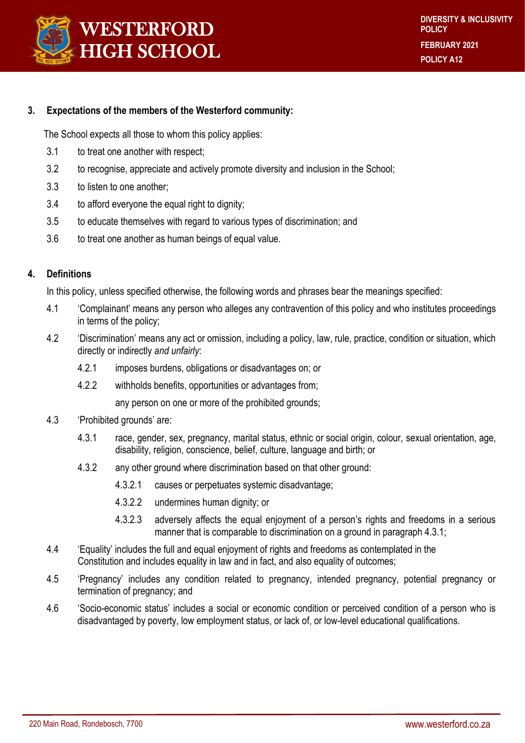

## **3. Expectations of the members of the Westerford community:**

The School expects all those to whom this policy applies:

- 3.1 to treat one another with respect;
- 3.2 to recognise, appreciate and actively promote diversity and inclusion in the School;
- 3.3 to listen to one another;
- 3.4 to afford everyone the equal right to dignity;
- 3.5 to educate themselves with regard to various types of discrimination; and
- 3.6 to treat one another as human beings of equal value.

# **4. Definitions**

In this policy, unless specified otherwise, the following words and phrases bear the meanings specified:

- 4.1 'Complainant' means any person who alleges any contravention of this policy and who institutes proceedings in terms of the policy;
- 4.2 'Discrimination' means any act or omission, including a policy, law, rule, practice, condition or situation, which directly or indirectly *and unfairly*:
	- 4.2.1 imposes burdens, obligations or disadvantages on; or
	- 4.2.2 withholds benefits, opportunities or advantages from;

any person on one or more of the prohibited grounds;

- 4.3 'Prohibited grounds' are:
	- 4.3.1 race, gender, sex, pregnancy, marital status, ethnic or social origin, colour, sexual orientation, age, disability, religion, conscience, belief, culture, language and birth; or
	- 4.3.2 any other ground where discrimination based on that other ground:
		- 4.3.2.1 causes or perpetuates systemic disadvantage;
		- 4.3.2.2 undermines human dignity; or
		- 4.3.2.3 adversely affects the equal enjoyment of a person's rights and freedoms in a serious manner that is comparable to discrimination on a ground in paragraph 4.3.1;
- 4.4 'Equality' includes the full and equal enjoyment of rights and freedoms as contemplated in the Constitution and includes equality in law and in fact, and also equality of outcomes;
- 4.5 'Pregnancy' includes any condition related to pregnancy, intended pregnancy, potential pregnancy or termination of pregnancy; and
- 4.6 'Socio-economic status' includes a social or economic condition or perceived condition of a person who is disadvantaged by poverty, low employment status, or lack of, or low-level educational qualifications.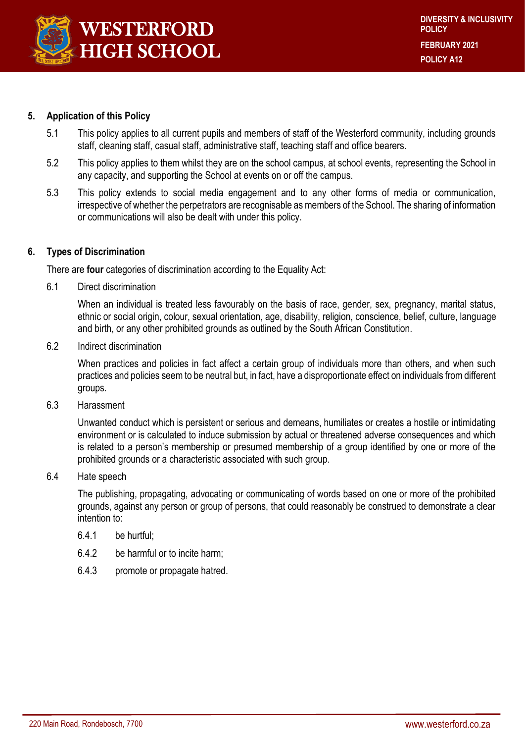

# **5. Application of this Policy**

- 5.1 This policy applies to all current pupils and members of staff of the Westerford community, including grounds staff, cleaning staff, casual staff, administrative staff, teaching staff and office bearers.
- 5.2 This policy applies to them whilst they are on the school campus, at school events, representing the School in any capacity, and supporting the School at events on or off the campus.
- 5.3 This policy extends to social media engagement and to any other forms of media or communication, irrespective of whether the perpetrators are recognisable as members of the School. The sharing of information or communications will also be dealt with under this policy.

#### **6. Types of Discrimination**

There are **four** categories of discrimination according to the Equality Act:

6.1 Direct discrimination

When an individual is treated less favourably on the basis of race, gender, sex, pregnancy, marital status, ethnic or social origin, colour, sexual orientation, age, disability, religion, conscience, belief, culture, language and birth, or any other prohibited grounds as outlined by the South African Constitution.

6.2 Indirect discrimination

When practices and policies in fact affect a certain group of individuals more than others, and when such practices and policies seem to be neutral but, in fact, have a disproportionate effect on individuals from different groups.

6.3 Harassment

Unwanted conduct which is persistent or serious and demeans, humiliates or creates a hostile or intimidating environment or is calculated to induce submission by actual or threatened adverse consequences and which is related to a person's membership or presumed membership of a group identified by one or more of the prohibited grounds or a characteristic associated with such group.

#### 6.4 Hate speech

The publishing, propagating, advocating or communicating of words based on one or more of the prohibited grounds, against any person or group of persons, that could reasonably be construed to demonstrate a clear intention to:

- 6.4.1 be hurtful;
- 6.4.2 be harmful or to incite harm;
- 6.4.3 promote or propagate hatred.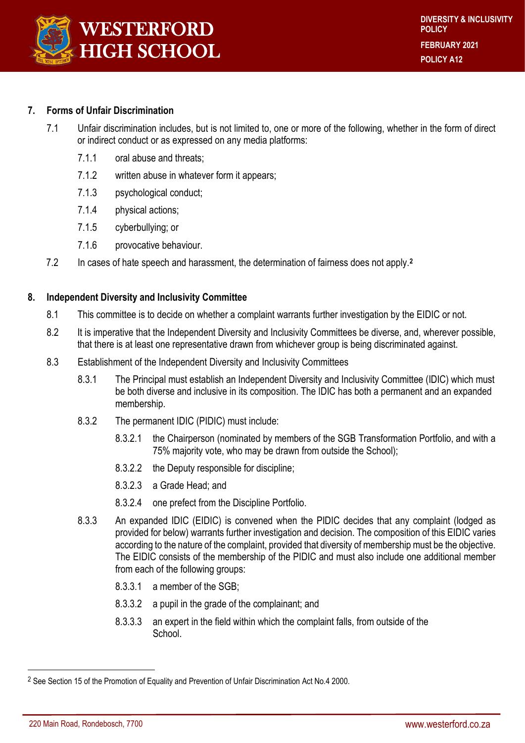

## **7. Forms of Unfair Discrimination**

- 7.1 Unfair discrimination includes, but is not limited to, one or more of the following, whether in the form of direct or indirect conduct or as expressed on any media platforms:
	- 7.1.1 oral abuse and threats;
	- 7.1.2 written abuse in whatever form it appears;
	- 7.1.3 psychological conduct;
	- 7.1.4 physical actions;
	- 7.1.5 cyberbullying; or
	- 7.1.6 provocative behaviour.
- 7.2 In cases of hate speech and harassment, the determination of fairness does not apply.**<sup>2</sup>**

#### **8. Independent Diversity and Inclusivity Committee**

- 8.1 This committee is to decide on whether a complaint warrants further investigation by the EIDIC or not.
- 8.2 It is imperative that the Independent Diversity and Inclusivity Committees be diverse, and, wherever possible, that there is at least one representative drawn from whichever group is being discriminated against.
- 8.3 Establishment of the Independent Diversity and Inclusivity Committees
	- 8.3.1 The Principal must establish an Independent Diversity and Inclusivity Committee (IDIC) which must be both diverse and inclusive in its composition. The IDIC has both a permanent and an expanded membership.
	- 8.3.2 The permanent IDIC (PIDIC) must include:
		- 8.3.2.1 the Chairperson (nominated by members of the SGB Transformation Portfolio, and with a 75% majority vote, who may be drawn from outside the School);
		- 8.3.2.2 the Deputy responsible for discipline;
		- 8.3.2.3 a Grade Head; and
		- 8.3.2.4 one prefect from the Discipline Portfolio.
	- 8.3.3 An expanded IDIC (EIDIC) is convened when the PIDIC decides that any complaint (lodged as provided for below) warrants further investigation and decision. The composition of this EIDIC varies according to the nature of the complaint, provided that diversity of membership must be the objective. The EIDIC consists of the membership of the PIDIC and must also include one additional member from each of the following groups:
		- 8.3.3.1 a member of the SGB;
		- 8.3.3.2 a pupil in the grade of the complainant; and
		- 8.3.3.3 an expert in the field within which the complaint falls, from outside of the **School**

 $\overline{a}$ 

<sup>&</sup>lt;sup>2</sup> See Section 15 of the Promotion of Equality and Prevention of Unfair Discrimination Act No.4 2000.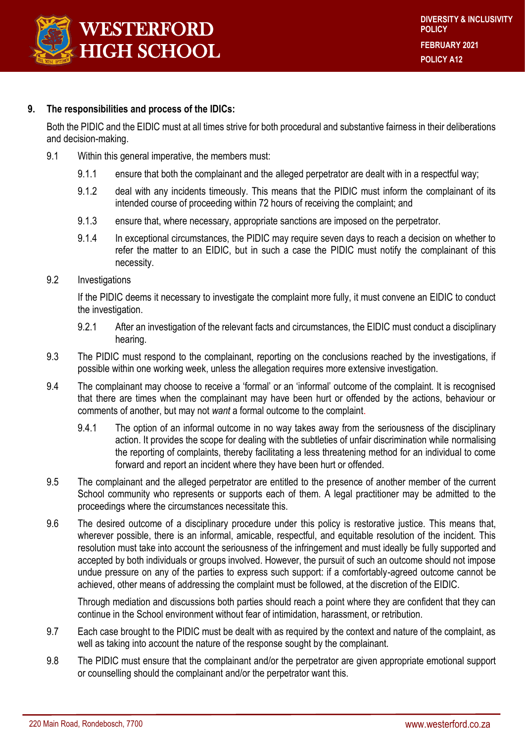

#### **9. The responsibilities and process of the IDICs:**

Both the PIDIC and the EIDIC must at all times strive for both procedural and substantive fairness in their deliberations and decision-making.

- 9.1 Within this general imperative, the members must:
	- 9.1.1 ensure that both the complainant and the alleged perpetrator are dealt with in a respectful way;
	- 9.1.2 deal with any incidents timeously. This means that the PIDIC must inform the complainant of its intended course of proceeding within 72 hours of receiving the complaint; and
	- 9.1.3 ensure that, where necessary, appropriate sanctions are imposed on the perpetrator.
	- 9.1.4 In exceptional circumstances, the PIDIC may require seven days to reach a decision on whether to refer the matter to an EIDIC, but in such a case the PIDIC must notify the complainant of this necessity.
- 9.2 Investigations

If the PIDIC deems it necessary to investigate the complaint more fully, it must convene an EIDIC to conduct the investigation.

- 9.2.1 After an investigation of the relevant facts and circumstances, the EIDIC must conduct a disciplinary hearing.
- 9.3 The PIDIC must respond to the complainant, reporting on the conclusions reached by the investigations, if possible within one working week, unless the allegation requires more extensive investigation.
- 9.4 The complainant may choose to receive a 'formal' or an 'informal' outcome of the complaint. It is recognised that there are times when the complainant may have been hurt or offended by the actions, behaviour or comments of another, but may not *want* a formal outcome to the complaint.
	- 9.4.1 The option of an informal outcome in no way takes away from the seriousness of the disciplinary action. It provides the scope for dealing with the subtleties of unfair discrimination while normalising the reporting of complaints, thereby facilitating a less threatening method for an individual to come forward and report an incident where they have been hurt or offended.
- 9.5 The complainant and the alleged perpetrator are entitled to the presence of another member of the current School community who represents or supports each of them. A legal practitioner may be admitted to the proceedings where the circumstances necessitate this.
- 9.6 The desired outcome of a disciplinary procedure under this policy is restorative justice. This means that, wherever possible, there is an informal, amicable, respectful, and equitable resolution of the incident. This resolution must take into account the seriousness of the infringement and must ideally be fully supported and accepted by both individuals or groups involved. However, the pursuit of such an outcome should not impose undue pressure on any of the parties to express such support: if a comfortably-agreed outcome cannot be achieved, other means of addressing the complaint must be followed, at the discretion of the EIDIC.

Through mediation and discussions both parties should reach a point where they are confident that they can continue in the School environment without fear of intimidation, harassment, or retribution.

- 9.7 Each case brought to the PIDIC must be dealt with as required by the context and nature of the complaint, as well as taking into account the nature of the response sought by the complainant.
- 9.8 The PIDIC must ensure that the complainant and/or the perpetrator are given appropriate emotional support or counselling should the complainant and/or the perpetrator want this.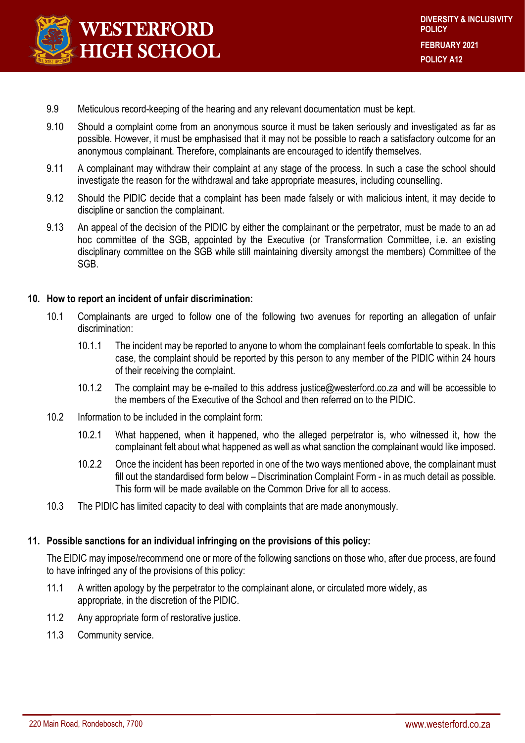

- 9.9 Meticulous record-keeping of the hearing and any relevant documentation must be kept.
- 9.10 Should a complaint come from an anonymous source it must be taken seriously and investigated as far as possible. However, it must be emphasised that it may not be possible to reach a satisfactory outcome for an anonymous complainant. Therefore, complainants are encouraged to identify themselves.
- 9.11 A complainant may withdraw their complaint at any stage of the process. In such a case the school should investigate the reason for the withdrawal and take appropriate measures, including counselling.
- 9.12 Should the PIDIC decide that a complaint has been made falsely or with malicious intent, it may decide to discipline or sanction the complainant.
- 9.13 An appeal of the decision of the PIDIC by either the complainant or the perpetrator, must be made to an ad hoc committee of the SGB, appointed by the Executive (or Transformation Committee, i.e. an existing disciplinary committee on the SGB while still maintaining diversity amongst the members) Committee of the SGB.

#### **10. How to report an incident of unfair discrimination:**

- 10.1 Complainants are urged to follow one of the following two avenues for reporting an allegation of unfair discrimination:
	- 10.1.1 The incident may be reported to anyone to whom the complainant feels comfortable to speak. In this case, the complaint should be reported by this person to any member of the PIDIC within 24 hours of their receiving the complaint.
	- 10.1.2 The complaint may be e-mailed to this address [justice@westerford.co.za](mailto:justice@westerford.co.za) and will be accessible to the members of the Executive of the School and then referred on to the PIDIC.
- 10.2 Information to be included in the complaint form:
	- 10.2.1 What happened, when it happened, who the alleged perpetrator is, who witnessed it, how the complainant felt about what happened as well as what sanction the complainant would like imposed.
	- 10.2.2 Once the incident has been reported in one of the two ways mentioned above, the complainant must fill out the standardised form below – Discrimination Complaint Form - in as much detail as possible. This form will be made available on the Common Drive for all to access.
- 10.3 The PIDIC has limited capacity to deal with complaints that are made anonymously.

#### **11. Possible sanctions for an individual infringing on the provisions of this policy:**

The EIDIC may impose/recommend one or more of the following sanctions on those who, after due process, are found to have infringed any of the provisions of this policy:

- 11.1 A written apology by the perpetrator to the complainant alone, or circulated more widely, as appropriate, in the discretion of the PIDIC.
- 11.2 Any appropriate form of restorative justice.
- 11.3 Community service.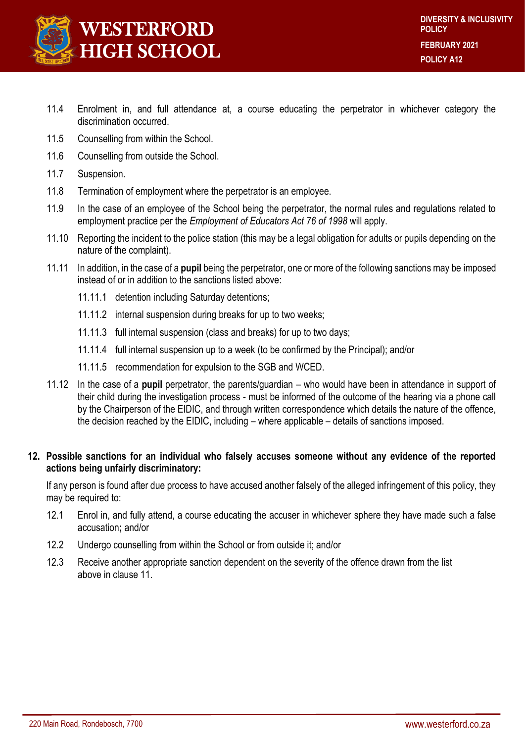

- 11.4 Enrolment in, and full attendance at, a course educating the perpetrator in whichever category the discrimination occurred.
- 11.5 Counselling from within the School.
- 11.6 Counselling from outside the School.
- 11.7 Suspension.
- 11.8 Termination of employment where the perpetrator is an employee.
- 11.9 In the case of an employee of the School being the perpetrator, the normal rules and regulations related to employment practice per the *Employment of Educators Act 76 of 1998* will apply.
- 11.10 Reporting the incident to the police station (this may be a legal obligation for adults or pupils depending on the nature of the complaint).
- 11.11 In addition, in the case of a **pupil** being the perpetrator, one or more of the following sanctions may be imposed instead of or in addition to the sanctions listed above:
	- 11.11.1 detention including Saturday detentions;
	- 11.11.2 internal suspension during breaks for up to two weeks;
	- 11.11.3 full internal suspension (class and breaks) for up to two days;
	- 11.11.4 full internal suspension up to a week (to be confirmed by the Principal); and/or
	- 11.11.5 recommendation for expulsion to the SGB and WCED.
- 11.12 In the case of a **pupil** perpetrator, the parents/guardian who would have been in attendance in support of their child during the investigation process - must be informed of the outcome of the hearing via a phone call by the Chairperson of the EIDIC, and through written correspondence which details the nature of the offence, the decision reached by the EIDIC, including – where applicable – details of sanctions imposed.

# **12. Possible sanctions for an individual who falsely accuses someone without any evidence of the reported actions being unfairly discriminatory:**

If any person is found after due process to have accused another falsely of the alleged infringement of this policy, they may be required to:

- 12.1 Enrol in, and fully attend, a course educating the accuser in whichever sphere they have made such a false accusation**;** and/or
- 12.2 Undergo counselling from within the School or from outside it; and/or
- 12.3 Receive another appropriate sanction dependent on the severity of the offence drawn from the list above in clause 11.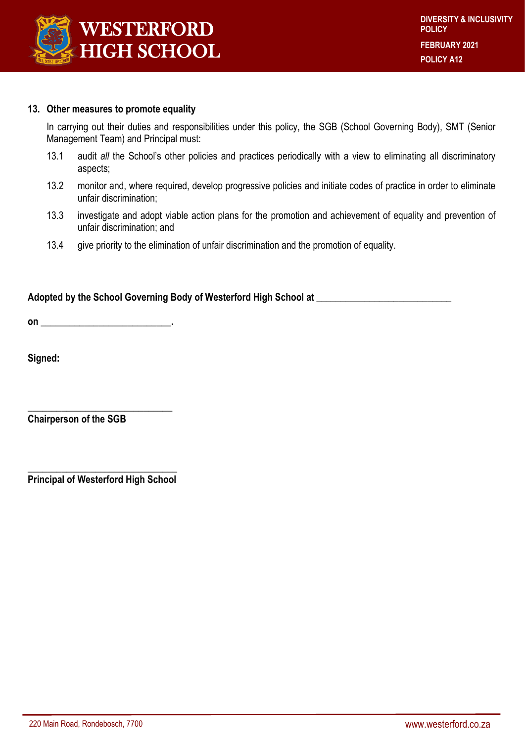

#### **13. Other measures to promote equality**

In carrying out their duties and responsibilities under this policy, the SGB (School Governing Body), SMT (Senior Management Team) and Principal must:

- 13.1 audit *all* the School's other policies and practices periodically with a view to eliminating all discriminatory aspects;
- 13.2 monitor and, where required, develop progressive policies and initiate codes of practice in order to eliminate unfair discrimination;
- 13.3 investigate and adopt viable action plans for the promotion and achievement of equality and prevention of unfair discrimination; and
- 13.4 give priority to the elimination of unfair discrimination and the promotion of equality.

# **Adopted by the School Governing Body of Westerford High School at \_\_\_\_\_\_\_\_\_\_\_\_\_\_\_\_\_\_\_\_\_\_\_\_\_\_\_\_**

**on \_\_\_\_\_\_\_\_\_\_\_\_\_\_\_\_\_\_\_\_\_\_\_\_\_\_\_.**

**Signed:**

**Chairperson of the SGB**

**\_\_\_\_\_\_\_\_\_\_\_\_\_\_\_\_\_\_\_\_\_\_\_\_\_\_\_\_\_\_\_ Principal of Westerford High School**

**\_\_\_\_\_\_\_\_\_\_\_\_\_\_\_\_\_\_\_\_\_\_\_\_\_\_\_\_\_\_**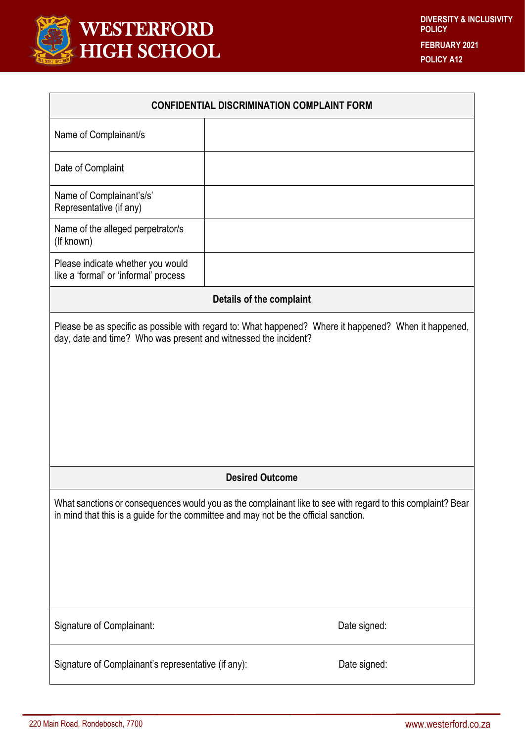

| <b>CONFIDENTIAL DISCRIMINATION COMPLAINT FORM</b>                                                                                                                                                   |  |              |
|-----------------------------------------------------------------------------------------------------------------------------------------------------------------------------------------------------|--|--------------|
| Name of Complainant/s                                                                                                                                                                               |  |              |
| Date of Complaint                                                                                                                                                                                   |  |              |
| Name of Complainant's/s'<br>Representative (if any)                                                                                                                                                 |  |              |
| Name of the alleged perpetrator/s<br>(If known)                                                                                                                                                     |  |              |
| Please indicate whether you would<br>like a 'formal' or 'informal' process                                                                                                                          |  |              |
| Details of the complaint                                                                                                                                                                            |  |              |
| Please be as specific as possible with regard to: What happened? Where it happened? When it happened,<br>day, date and time? Who was present and witnessed the incident?                            |  |              |
| <b>Desired Outcome</b>                                                                                                                                                                              |  |              |
| What sanctions or consequences would you as the complainant like to see with regard to this complaint? Bear<br>in mind that this is a guide for the committee and may not be the official sanction. |  |              |
| Signature of Complainant:                                                                                                                                                                           |  | Date signed: |
| Signature of Complainant's representative (if any):                                                                                                                                                 |  | Date signed: |